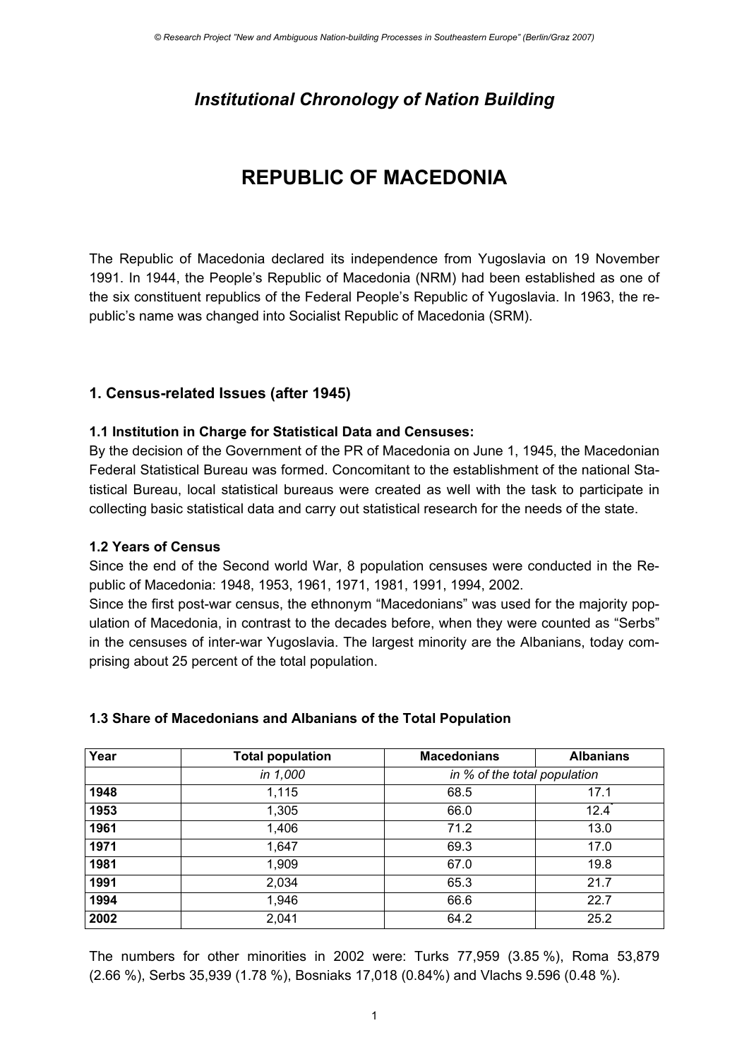## *Institutional Chronology of Nation Building*

# **REPUBLIC OF MACEDONIA**

The Republic of Macedonia declared its independence from Yugoslavia on 19 November 1991. In 1944, the People's Republic of Macedonia (NRM) had been established as one of the six constituent republics of the Federal People's Republic of Yugoslavia. In 1963, the republic's name was changed into Socialist Republic of Macedonia (SRM).

## **1. Census-related Issues (after 1945)**

## **1.1 Institution in Charge for Statistical Data and Censuses:**

By the decision of the Government of the PR of Macedonia on June 1, 1945, the Macedonian Federal Statistical Bureau was formed. Concomitant to the establishment of the national Statistical Bureau, local statistical bureaus were created as well with the task to participate in collecting basic statistical data and carry out statistical research for the needs of the state.

### **1.2 Years of Census**

Since the end of the Second world War, 8 population censuses were conducted in the Republic of Macedonia: 1948, 1953, 1961, 1971, 1981, 1991, 1994, 2002.

Since the first post-war census, the ethnonym "Macedonians" was used for the majority population of Macedonia, in contrast to the decades before, when they were counted as "Serbs" in the censuses of inter-war Yugoslavia. The largest minority are the Albanians, today comprising about 25 percent of the total population.

### **1.3 Share of Macedonians and Albanians of the Total Population**

| Year | <b>Total population</b> | <b>Macedonians</b>           | <b>Albanians</b> |
|------|-------------------------|------------------------------|------------------|
|      | in 1,000                | in % of the total population |                  |
| 1948 | 1,115                   | 68.5                         | 17.1             |
| 1953 | 1,305                   | 66.0                         | 12.4             |
| 1961 | 1,406                   | 71.2                         | 13.0             |
| 1971 | 1,647                   | 69.3                         | 17.0             |
| 1981 | 1,909                   | 67.0                         | 19.8             |
| 1991 | 2,034                   | 65.3                         | 21.7             |
| 1994 | 1,946                   | 66.6                         | 22.7             |
| 2002 | 2,041                   | 64.2                         | 25.2             |

The numbers for other minorities in 2002 were: Turks 77,959 (3.85 %), Roma 53,879 (2.66 %), Serbs 35,939 (1.78 %), Bosniaks 17,018 (0.84%) and Vlachs 9.596 (0.48 %).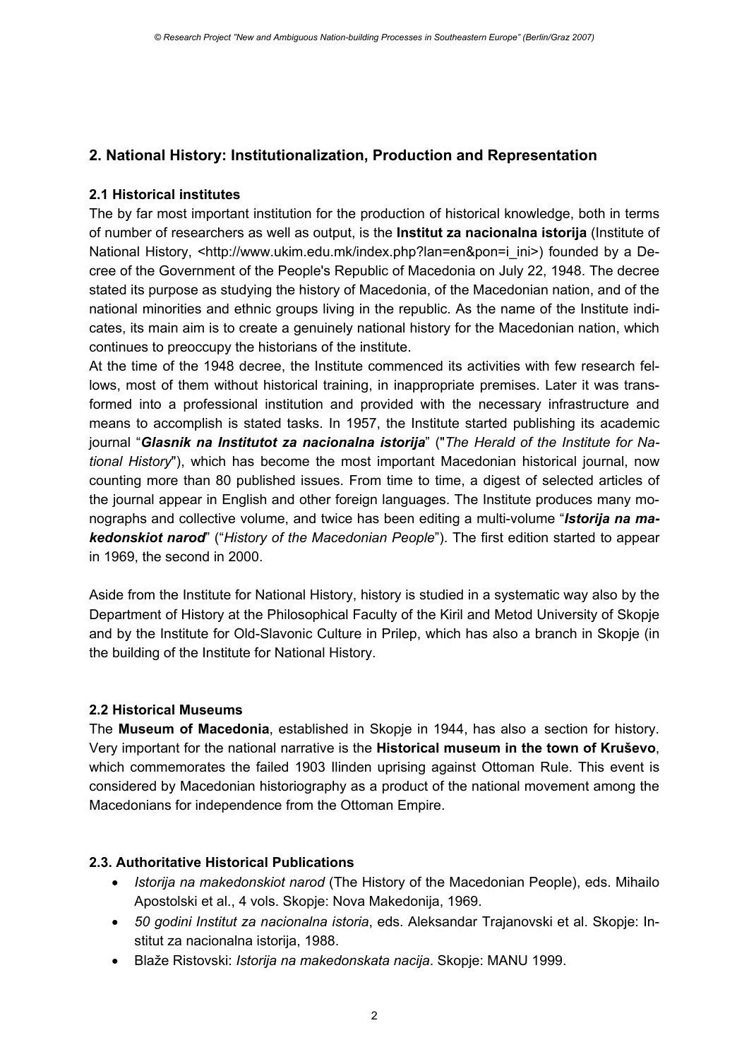## **2. National History: Institutionalization, Production and Representation**

## **2.1 Historical institutes**

The by far most important institution for the production of historical knowledge, both in terms of number of researchers as well as output, is the **Institut za nacionalna istorija** (Institute of National History, <http://www.ukim.edu.mk/index.php?lan=en&pon=i\_ini>) founded by a Decree of the Government of the People's Republic of Macedonia on July 22, 1948. The decree stated its purpose as studying the history of Macedonia, of the Macedonian nation, and of the national minorities and ethnic groups living in the republic. As the name of the Institute indicates, its main aim is to create a genuinely national history for the Macedonian nation, which continues to preoccupy the historians of the institute.

At the time of the 1948 decree, the Institute commenced its activities with few research fellows, most of them without historical training, in inappropriate premises. Later it was transformed into a professional institution and provided with the necessary infrastructure and means to accomplish is stated tasks. In 1957, the Institute started publishing its academic journal "*Glasnik na Institutot za nacionalna istorija*" ("*The Herald of the Institute for National History*"), which has become the most important Macedonian historical journal, now counting more than 80 published issues. From time to time, a digest of selected articles of the journal appear in English and other foreign languages. The Institute produces many monographs and collective volume, and twice has been editing a multi-volume "*Istorija na makedonskiot narod*" ("*History of the Macedonian People*"). The first edition started to appear in 1969, the second in 2000.

Aside from the Institute for National History, history is studied in a systematic way also by the Department of History at the Philosophical Faculty of the Kiril and Metod University of Skopje and by the Institute for Old-Slavonic Culture in Prilep, which has also a branch in Skopje (in the building of the Institute for National History.

## **2.2 Historical Museums**

The **Museum of Macedonia**, established in Skopje in 1944, has also a section for history. Very important for the national narrative is the **Historical museum in the town of Kruševo**, which commemorates the failed 1903 Ilinden uprising against Ottoman Rule. This event is considered by Macedonian historiography as a product of the national movement among the Macedonians for independence from the Ottoman Empire.

### **2.3. Authoritative Historical Publications**

- *Istorija na makedonskiot narod* (The History of the Macedonian People), eds. Mihailo Apostolski et al., 4 vols. Skopje: Nova Makedonija, 1969.
- *50 godini Institut za nacionalna istoria*, eds. Aleksandar Trajanovski et al. Skopje: Institut za nacionalna istorija, 1988.
- Blaže Ristovski: *Istorija na makedonskata nacija*. Skopje: MANU 1999.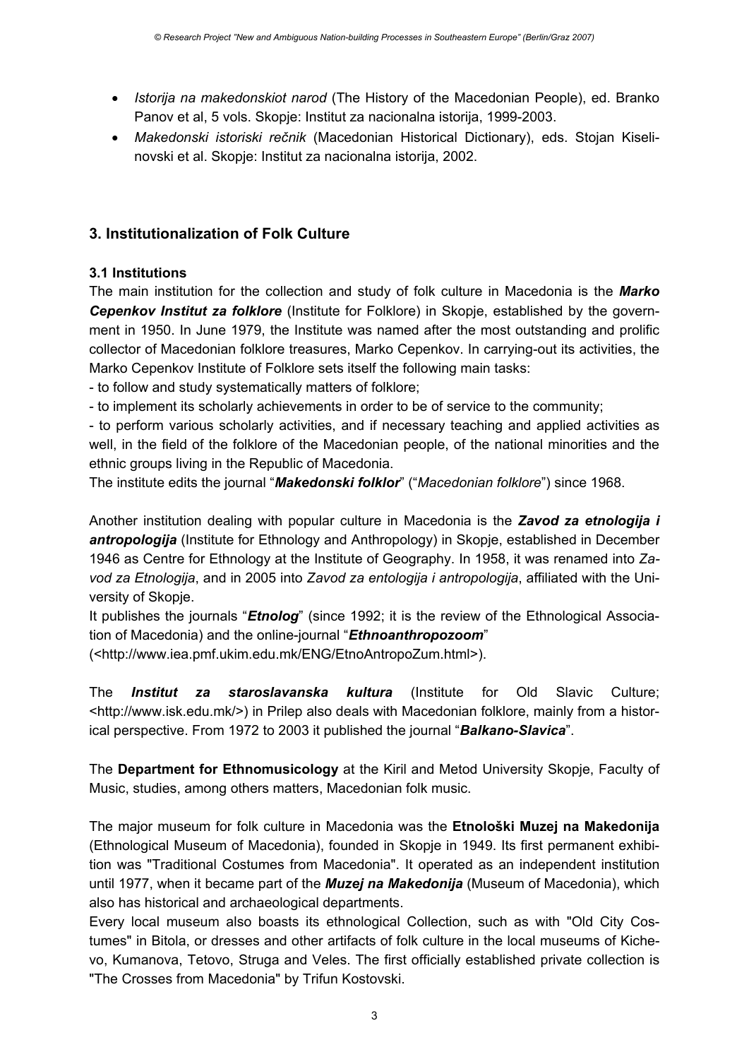- *Istorija na makedonskiot narod* (The History of the Macedonian People), ed. Branko Panov et al, 5 vols. Skopje: Institut za nacionalna istorija, 1999-2003.
- *Makedonski istoriski rečnik* (Macedonian Historical Dictionary), eds. Stojan Kiselinovski et al. Skopje: Institut za nacionalna istorija, 2002.

## **3. Institutionalization of Folk Culture**

## **3.1 Institutions**

The main institution for the collection and study of folk culture in Macedonia is the *Marko Cepenkov Institut za folklore* (Institute for Folklore) in Skopje, established by the government in 1950. In June 1979, the Institute was named after the most outstanding and prolific collector of Macedonian folklore treasures, Marko Cepenkov. In carrying-out its activities, the Marko Cepenkov Institute of Folklore sets itself the following main tasks:

- to follow and study systematically matters of folklore;

- to implement its scholarly achievements in order to be of service to the community;

- to perform various scholarly activities, and if necessary teaching and applied activities as well, in the field of the folklore of the Macedonian people, of the national minorities and the ethnic groups living in the Republic of Macedonia.

The institute edits the journal "*Makedonski folklor*" ("*Macedonian folklore*") since 1968.

Another institution dealing with popular culture in Macedonia is the *Zavod za etnologija i antropologija* (Institute for Ethnology and Anthropology) in Skopje, established in December 1946 as Centre for Ethnology at the Institute of Geography. In 1958, it was renamed into *Zavod za Etnologija*, and in 2005 into *Zavod za entologija i antropologija*, affiliated with the University of Skopje.

It publishes the journals "*Etnolog*" (since 1992; it is the review of the Ethnological Association of Macedonia) and the online-journal "*Ethnoanthropozoom*"

(<http://www.iea.pmf.ukim.edu.mk/ENG/EtnoAntropoZum.html>).

The *Institut za staroslavanska kultura* (Institute for Old Slavic Culture; <http://www.isk.edu.mk/>) in Prilep also deals with Macedonian folklore, mainly from a historical perspective. From 1972 to 2003 it published the journal "*Balkano-Slavica*".

The **Department for Ethnomusicology** at the Kiril and Metod University Skopje, Faculty of Music, studies, among others matters, Macedonian folk music.

The major museum for folk culture in Macedonia was the **Etnološki Muzej na Makedonija** (Ethnological Museum of Macedonia), founded in Skopje in 1949. Its first permanent exhibition was "Traditional Costumes from Macedonia". It operated as an independent institution until 1977, when it became part of the *Muzej na Makedonija* (Museum of Macedonia), which also has historical and archaeological departments.

Every local museum also boasts its ethnological Collection, such as with "Old City Costumes" in Bitola, or dresses and other artifacts of folk culture in the local museums of Kichevo, Kumanova, Tetovo, Struga and Veles. The first officially established private collection is "The Crosses from Macedonia" by Trifun Kostovski.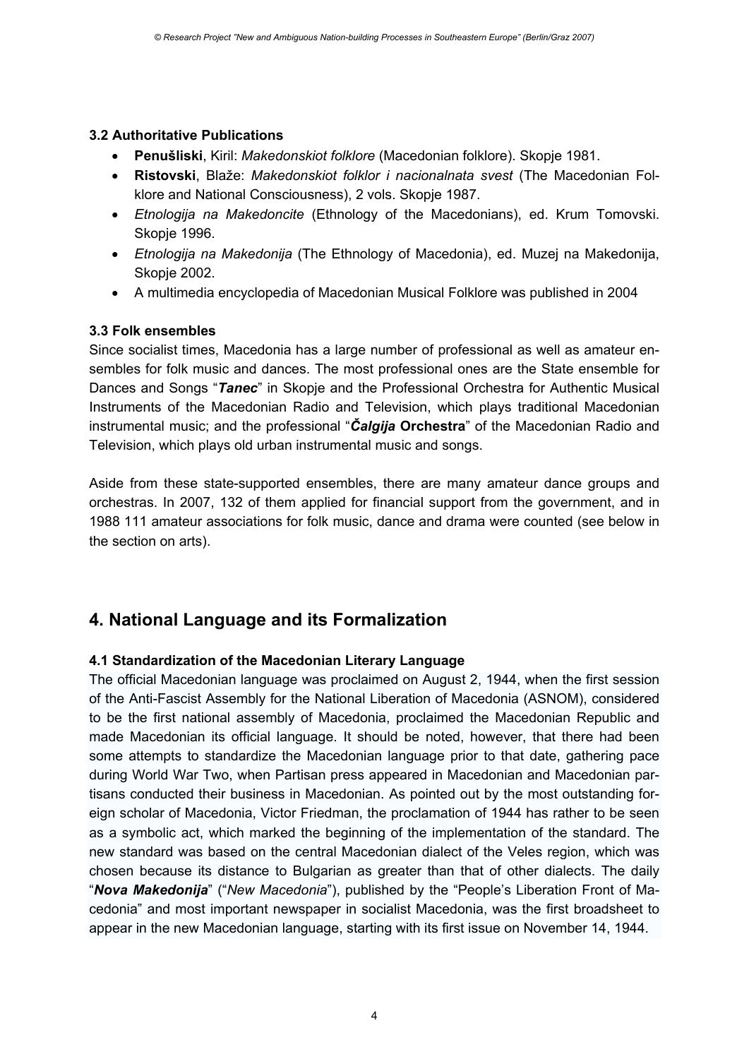#### **3.2 Authoritative Publications**

- **Penušliski**, Kiril: *Makedonskiot folklore* (Macedonian folklore). Skopje 1981.
- **Ristovski**, Blaže: *Makedonskiot folklor i nacionalnata svest* (The Macedonian Folklore and National Consciousness), 2 vols. Skopje 1987.
- *Etnologija na Makedoncite* (Ethnology of the Macedonians), ed. Krum Tomovski. Skopje 1996.
- *Etnologija na Makedonija* (The Ethnology of Macedonia), ed. Muzej na Makedonija, Skopje 2002.
- A multimedia encyclopedia of Macedonian Musical Folklore was published in 2004

### **3.3 Folk ensembles**

Since socialist times, Macedonia has a large number of professional as well as amateur ensembles for folk music and dances. The most professional ones are the State ensemble for Dances and Songs "*Tanec*" in Skopje and the Professional Orchestra for Authentic Musical Instruments of the Macedonian Radio and Television, which plays traditional Macedonian instrumental music; and the professional "*Čalgija* **Orchestra**" of the Macedonian Radio and Television, which plays old urban instrumental music and songs.

Aside from these state-supported ensembles, there are many amateur dance groups and orchestras. In 2007, 132 of them applied for financial support from the government, and in 1988 111 amateur associations for folk music, dance and drama were counted (see below in the section on arts).

## **4. National Language and its Formalization**

### **4.1 Standardization of the Macedonian Literary Language**

The official Macedonian language was proclaimed on August 2, 1944, when the first session of the Anti-Fascist Assembly for the National Liberation of Macedonia (ASNOM), considered to be the first national assembly of Macedonia, proclaimed the Macedonian Republic and made Macedonian its official language. It should be noted, however, that there had been some attempts to standardize the Macedonian language prior to that date, gathering pace during World War Two, when Partisan press appeared in Macedonian and Macedonian partisans conducted their business in Macedonian. As pointed out by the most outstanding foreign scholar of Macedonia, Victor Friedman, the proclamation of 1944 has rather to be seen as a symbolic act, which marked the beginning of the implementation of the standard. The new standard was based on the central Macedonian dialect of the Veles region, which was chosen because its distance to Bulgarian as greater than that of other dialects. The daily "*Nova Makedonija*" ("*New Macedonia*"), published by the "People's Liberation Front of Macedonia" and most important newspaper in socialist Macedonia, was the first broadsheet to appear in the new Macedonian language, starting with its first issue on November 14, 1944.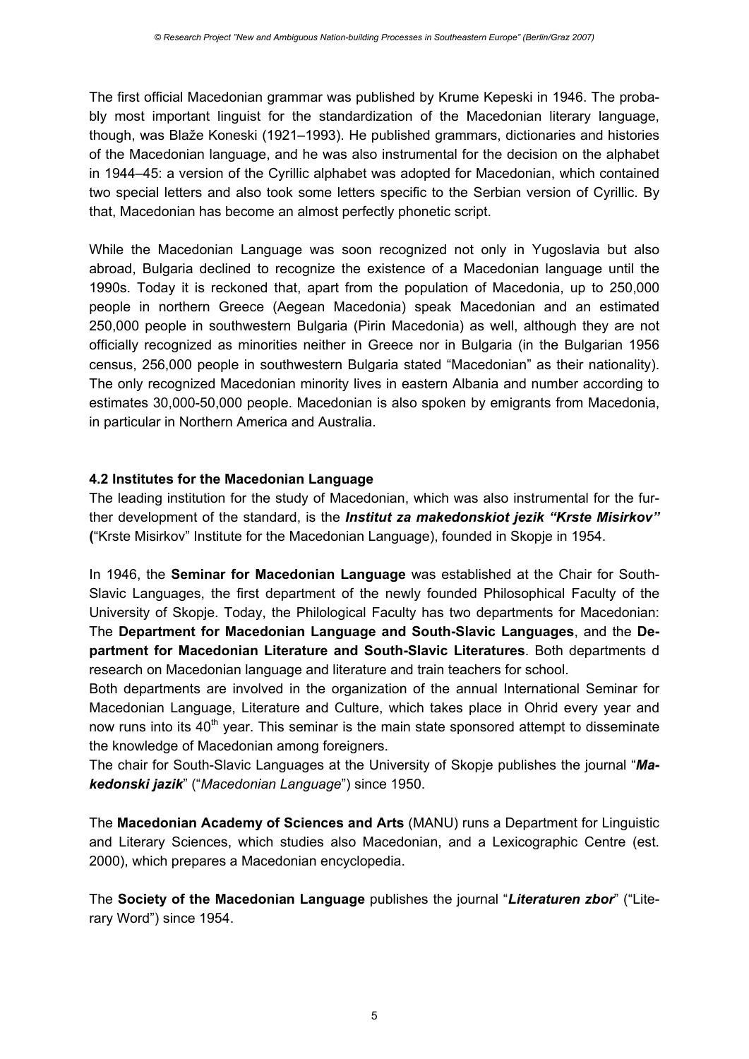The first official Macedonian grammar was published by Krume Kepeski in 1946. The probably most important linguist for the standardization of the Macedonian literary language, though, was Blaže Koneski (1921–1993). He published grammars, dictionaries and histories of the Macedonian language, and he was also instrumental for the decision on the alphabet in 1944–45: a version of the Cyrillic alphabet was adopted for Macedonian, which contained two special letters and also took some letters specific to the Serbian version of Cyrillic. By that, Macedonian has become an almost perfectly phonetic script.

While the Macedonian Language was soon recognized not only in Yugoslavia but also abroad, Bulgaria declined to recognize the existence of a Macedonian language until the 1990s. Today it is reckoned that, apart from the population of Macedonia, up to 250,000 people in northern Greece (Aegean Macedonia) speak Macedonian and an estimated 250,000 people in southwestern Bulgaria (Pirin Macedonia) as well, although they are not officially recognized as minorities neither in Greece nor in Bulgaria (in the Bulgarian 1956 census, 256,000 people in southwestern Bulgaria stated "Macedonian" as their nationality). The only recognized Macedonian minority lives in eastern Albania and number according to estimates 30,000-50,000 people. Macedonian is also spoken by emigrants from Macedonia, in particular in Northern America and Australia.

### **4.2 Institutes for the Macedonian Language**

The leading institution for the study of Macedonian, which was also instrumental for the further development of the standard, is the *Institut za makedonskiot jezik "Krste Misirkov"*  **(**"Krste Misirkov" Institute for the Macedonian Language), founded in Skopje in 1954.

In 1946, the **Seminar for Macedonian Language** was established at the Chair for South-Slavic Languages, the first department of the newly founded Philosophical Faculty of the University of Skopje. Today, the Philological Faculty has two departments for Macedonian: The **Department for Macedonian Language and South-Slavic Languages**, and the **Department for Macedonian Literature and South-Slavic Literatures**. Both departments d research on Macedonian language and literature and train teachers for school.

Both departments are involved in the organization of the annual International Seminar for Macedonian Language, Literature and Culture, which takes place in Ohrid every year and now runs into its  $40<sup>th</sup>$  year. This seminar is the main state sponsored attempt to disseminate the knowledge of Macedonian among foreigners.

The chair for South-Slavic Languages at the University of Skopje publishes the journal "*Makedonski jazik*" ("*Macedonian Language*") since 1950.

The **Macedonian Academy of Sciences and Arts** (MANU) runs a Department for Linguistic and Literary Sciences, which studies also Macedonian, and a Lexicographic Centre (est. 2000), which prepares a Macedonian encyclopedia.

The **Society of the Macedonian Language** publishes the journal "*Literaturen zbor*" ("Literary Word") since 1954.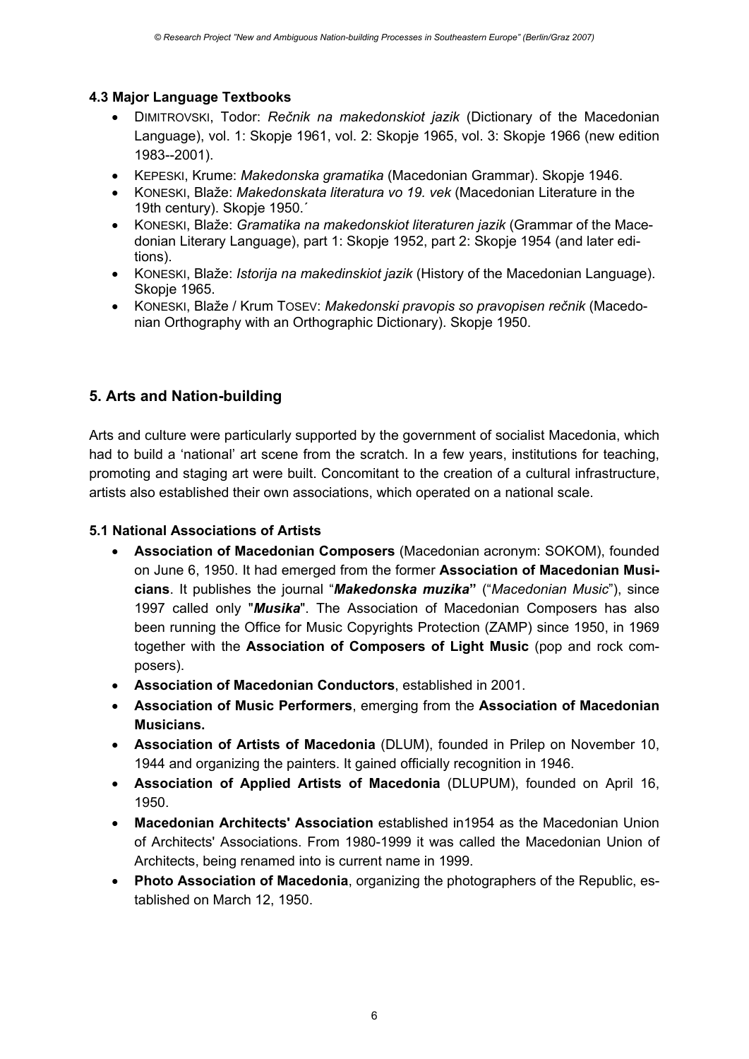## **4.3 Major Language Textbooks**

- DIMITROVSKI, Todor: *Rečnik na makedonskiot jazik* (Dictionary of the Macedonian Language), vol. 1: Skopje 1961, vol. 2: Skopje 1965, vol. 3: Skopje 1966 (new edition 1983--2001).
- KEPESKI, Krume: *Makedonska gramatika* (Macedonian Grammar). Skopje 1946.
- KONESKI, Blaže: *Makedonskata literatura vo 19. vek* (Macedonian Literature in the 19th century). Skopje 1950.´
- KONESKI, Blaže: *Gramatika na makedonskiot literaturen jazik* (Grammar of the Macedonian Literary Language), part 1: Skopje 1952, part 2: Skopje 1954 (and later editions).
- KONESKI, Blaže: *Istorija na makedinskiot jazik* (History of the Macedonian Language). Skopje 1965.
- KONESKI, Blaže / Krum TOSEV: *Makedonski pravopis so pravopisen rečnik* (Macedonian Orthography with an Orthographic Dictionary). Skopje 1950.

## **5. Arts and Nation-building**

Arts and culture were particularly supported by the government of socialist Macedonia, which had to build a 'national' art scene from the scratch. In a few years, institutions for teaching, promoting and staging art were built. Concomitant to the creation of a cultural infrastructure, artists also established their own associations, which operated on a national scale.

## **5.1 National Associations of Artists**

- **Association of Macedonian Composers** (Macedonian acronym: SOKOM), founded on June 6, 1950. It had emerged from the former **Association of Macedonian Musicians**. It publishes the journal "*Makedonska muzika***"** ("*Macedonian Music*"), since 1997 called only "*Musika*". The Association of Macedonian Composers has also been running the Office for Music Copyrights Protection (ZAMP) since 1950, in 1969 together with the **Association of Composers of Light Music** (pop and rock composers).
- **Association of Macedonian Conductors**, established in 2001.
- **Association of Music Performers**, emerging from the **Association of Macedonian Musicians.**
- **Association of Artists of Macedonia** (DLUM), founded in Prilep on November 10, 1944 and organizing the painters. It gained officially recognition in 1946.
- **Association of Applied Artists of Macedonia** (DLUPUM), founded on April 16, 1950.
- **Macedonian Architects' Association** established in1954 as the Macedonian Union of Architects' Associations. From 1980-1999 it was called the Macedonian Union of Architects, being renamed into is current name in 1999.
- **Photo Association of Macedonia**, organizing the photographers of the Republic, established on March 12, 1950.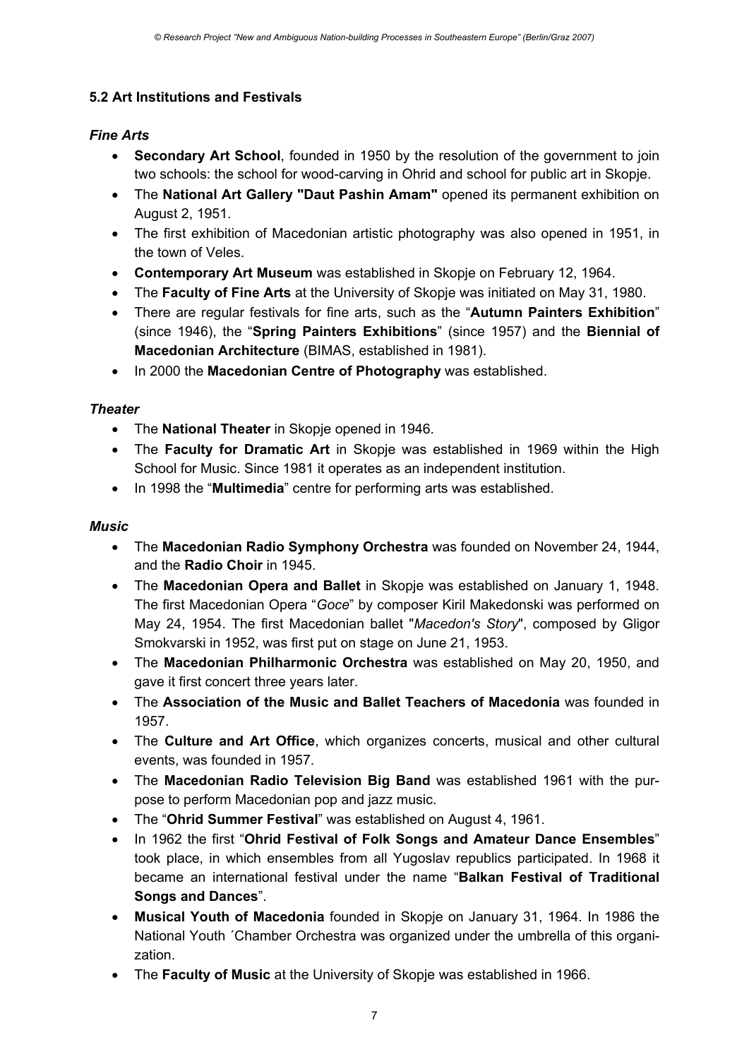## **5.2 Art Institutions and Festivals**

## *Fine Arts*

- **Secondary Art School**, founded in 1950 by the resolution of the government to join two schools: the school for wood-carving in Ohrid and school for public art in Skopje.
- The **National Art Gallery "Daut Pashin Amam"** opened its permanent exhibition on August 2, 1951.
- The first exhibition of Macedonian artistic photography was also opened in 1951, in the town of Veles.
- **Contemporary Art Museum** was established in Skopje on February 12, 1964.
- The **Faculty of Fine Arts** at the University of Skopje was initiated on May 31, 1980.
- There are regular festivals for fine arts, such as the "**Autumn Painters Exhibition**" (since 1946), the "**Spring Painters Exhibitions**" (since 1957) and the **Biennial of Macedonian Architecture** (BIMAS, established in 1981).
- In 2000 the **Macedonian Centre of Photography** was established.

## *Theater*

- The **National Theater** in Skopje opened in 1946.
- The **Faculty for Dramatic Art** in Skopje was established in 1969 within the High School for Music. Since 1981 it operates as an independent institution.
- In 1998 the "**Multimedia**" centre for performing arts was established.

## *Music*

- The **Macedonian Radio Symphony Orchestra** was founded on November 24, 1944, and the **Radio Choir** in 1945.
- The **Macedonian Opera and Ballet** in Skopje was established on January 1, 1948. The first Macedonian Opera "*Goce*" by composer Kiril Makedonski was performed on May 24, 1954. The first Macedonian ballet "*Macedon's Story*", composed by Gligor Smokvarski in 1952, was first put on stage on June 21, 1953.
- The **Macedonian Philharmonic Orchestra** was established on May 20, 1950, and gave it first concert three years later.
- The **Association of the Music and Ballet Teachers of Macedonia** was founded in 1957.
- The **Culture and Art Office**, which organizes concerts, musical and other cultural events, was founded in 1957.
- The **Macedonian Radio Television Big Band** was established 1961 with the purpose to perform Macedonian pop and jazz music.
- The "**Ohrid Summer Festival**" was established on August 4, 1961.
- In 1962 the first "**Ohrid Festival of Folk Songs and Amateur Dance Ensembles**" took place, in which ensembles from all Yugoslav republics participated. In 1968 it became an international festival under the name "**Balkan Festival of Traditional Songs and Dances**".
- **Musical Youth of Macedonia** founded in Skopje on January 31, 1964. In 1986 the National Youth ´Chamber Orchestra was organized under the umbrella of this organization.
- The **Faculty of Music** at the University of Skopje was established in 1966.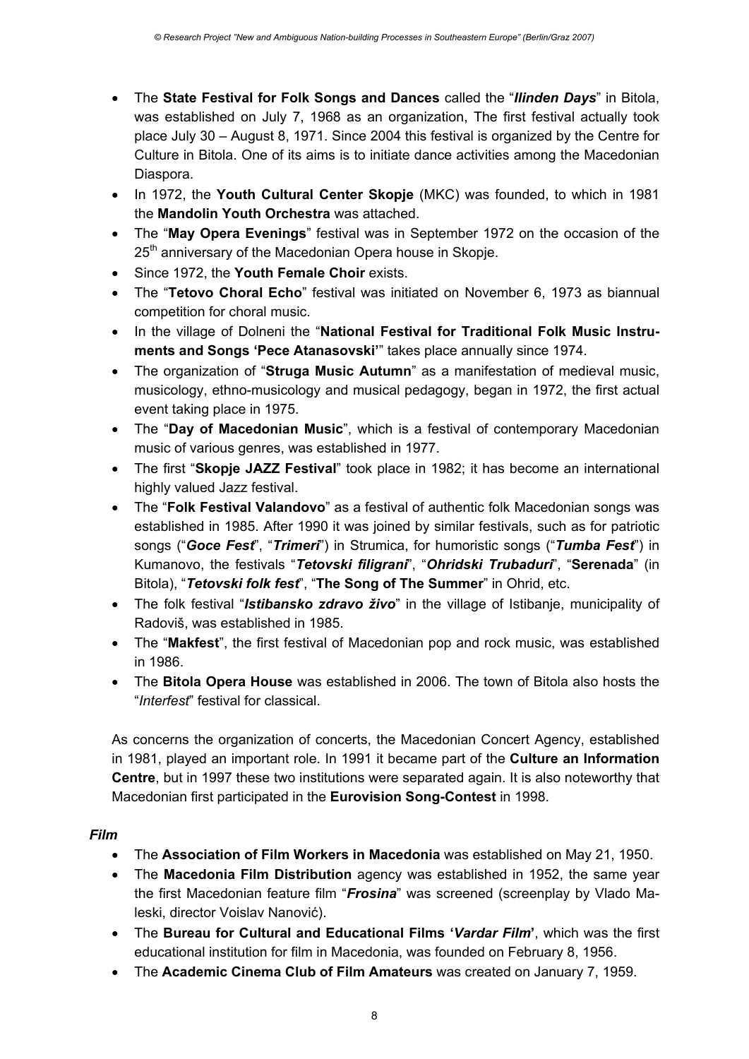- The **State Festival for Folk Songs and Dances** called the "*Ilinden Days*" in Bitola, was established on July 7, 1968 as an organization, The first festival actually took place July 30 – August 8, 1971. Since 2004 this festival is organized by the Centre for Culture in Bitola. One of its aims is to initiate dance activities among the Macedonian Diaspora.
- In 1972, the **Youth Cultural Center Skopje** (MKC) was founded, to which in 1981 the **Mandolin Youth Orchestra** was attached.
- The "**May Opera Evenings**" festival was in September 1972 on the occasion of the 25<sup>th</sup> anniversary of the Macedonian Opera house in Skopje.
- Since 1972, the **Youth Female Choir** exists.
- The "**Tetovo Choral Echo**" festival was initiated on November 6, 1973 as biannual competition for choral music.
- In the village of Dolneni the "**National Festival for Traditional Folk Music Instruments and Songs 'Pece Atanasovski'**" takes place annually since 1974.
- The organization of "**Struga Music Autumn**" as a manifestation of medieval music, musicology, ethno-musicology and musical pedagogy, began in 1972, the first actual event taking place in 1975.
- The "**Day of Macedonian Music**", which is a festival of contemporary Macedonian music of various genres, was established in 1977.
- The first "**Skopje JAZZ Festival**" took place in 1982; it has become an international highly valued Jazz festival.
- The "**Folk Festival Valandovo**" as a festival of authentic folk Macedonian songs was established in 1985. After 1990 it was joined by similar festivals, such as for patriotic songs ("*Goce Fest*", "*Trimeri*") in Strumica, for humoristic songs ("*Tumba Fest*") in Kumanovo, the festivals "*Tetovski filigrani*", "*Ohridski Trubaduri*", "**Serenada**" (in Bitola), "*Tetovski folk fest*", "**The Song of The Summer**" in Ohrid, etc.
- The folk festival "*Istibansko zdravo živo*" in the village of Istibanje, municipality of Radoviš, was established in 1985.
- The "**Makfest**", the first festival of Macedonian pop and rock music, was established in 1986.
- The **Bitola Opera House** was established in 2006. The town of Bitola also hosts the "*Interfest*" festival for classical.

As concerns the organization of concerts, the Macedonian Concert Agency, established in 1981, played an important role. In 1991 it became part of the **Culture an Information Centre**, but in 1997 these two institutions were separated again. It is also noteworthy that Macedonian first participated in the **Eurovision Song-Contest** in 1998.

### *Film*

- The **Association of Film Workers in Macedonia** was established on May 21, 1950.
- The **Macedonia Film Distribution** agency was established in 1952, the same year the first Macedonian feature film "*Frosina*" was screened (screenplay by Vlado Maleski, director Voislav Nanović).
- The **Bureau for Cultural and Educational Films '***Vardar Film***'**, which was the first educational institution for film in Macedonia, was founded on February 8, 1956.
- The **Academic Cinema Club of Film Amateurs** was created on January 7, 1959.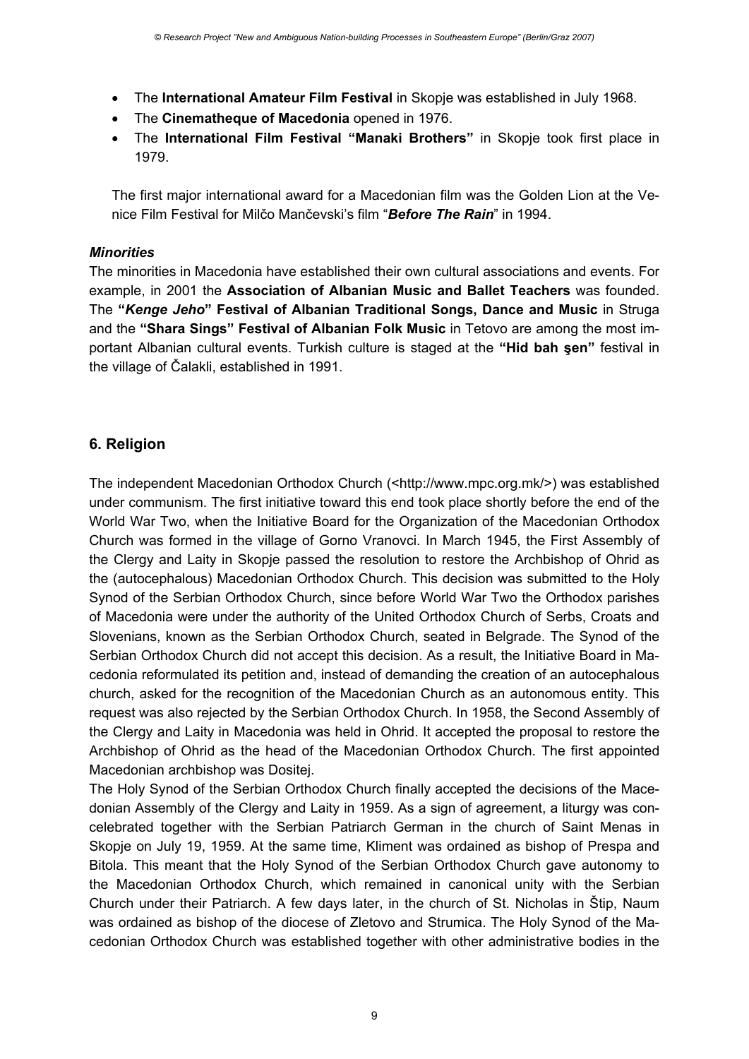- The **International Amateur Film Festival** in Skopje was established in July 1968.
- The **Cinematheque of Macedonia** opened in 1976.
- The **International Film Festival "Manaki Brothers"** in Skopje took first place in 1979.

The first major international award for a Macedonian film was the Golden Lion at the Venice Film Festival for Milčo Mančevski's film "*Before The Rain*" in 1994.

### *Minorities*

The minorities in Macedonia have established their own cultural associations and events. For example, in 2001 the **Association of Albanian Music and Ballet Teachers** was founded. The **"***Kenge Jeho***" Festival of Albanian Traditional Songs, Dance and Music** in Struga and the **"Shara Sings" Festival of Albanian Folk Music** in Tetovo are among the most important Albanian cultural events. Turkish culture is staged at the **"Hid bah şen"** festival in the village of Čalakli, established in 1991.

## **6. Religion**

The independent Macedonian Orthodox Church (<http://www.mpc.org.mk/>) was established under communism. The first initiative toward this end took place shortly before the end of the World War Two, when the Initiative Board for the Organization of the Macedonian Orthodox Church was formed in the village of Gorno Vranovci. In March 1945, the First Assembly of the Clergy and Laity in Skopje passed the resolution to restore the Archbishop of Ohrid as the (autocephalous) Macedonian Orthodox Church. This decision was submitted to the Holy Synod of the Serbian Orthodox Church, since before World War Two the Orthodox parishes of Macedonia were under the authority of the United Orthodox Church of Serbs, Croats and Slovenians, known as the Serbian Orthodox Church, seated in Belgrade. The Synod of the Serbian Orthodox Church did not accept this decision. As a result, the Initiative Board in Macedonia reformulated its petition and, instead of demanding the creation of an autocephalous church, asked for the recognition of the Macedonian Church as an autonomous entity. This request was also rejected by the Serbian Orthodox Church. In 1958, the Second Assembly of the Clergy and Laity in Macedonia was held in Ohrid. It accepted the proposal to restore the Archbishop of Ohrid as the head of the Macedonian Orthodox Church. The first appointed Macedonian archbishop was Dositej.

The Holy Synod of the Serbian Orthodox Church finally accepted the decisions of the Macedonian Assembly of the Clergy and Laity in 1959. As a sign of agreement, a liturgy was concelebrated together with the Serbian Patriarch German in the church of Saint Menas in Skopje on July 19, 1959. At the same time, Kliment was ordained as bishop of Prespa and Bitola. This meant that the Holy Synod of the Serbian Orthodox Church gave autonomy to the Macedonian Orthodox Church, which remained in canonical unity with the Serbian Church under their Patriarch. A few days later, in the church of St. Nicholas in Štip, Naum was ordained as bishop of the diocese of Zletovo and Strumica. The Holy Synod of the Macedonian Orthodox Church was established together with other administrative bodies in the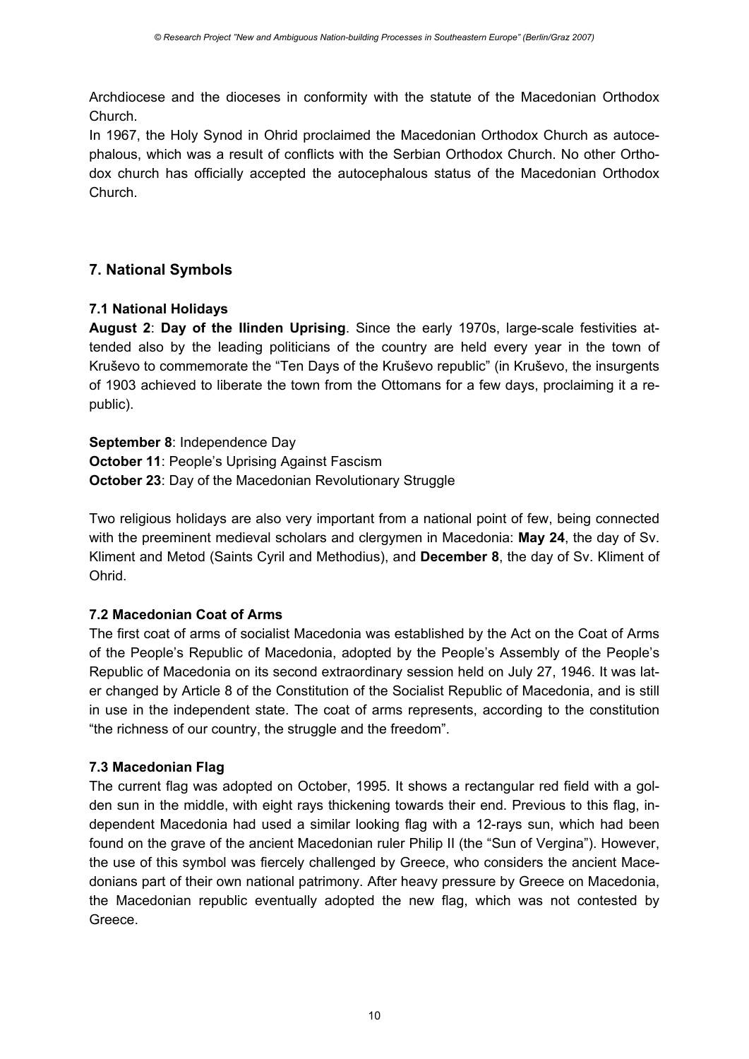Archdiocese and the dioceses in conformity with the statute of the Macedonian Orthodox Church.

In 1967, the Holy Synod in Ohrid proclaimed the Macedonian Orthodox Church as autocephalous, which was a result of conflicts with the Serbian Orthodox Church. No other Orthodox church has officially accepted the autocephalous status of the Macedonian Orthodox Church.

## **7. National Symbols**

## **7.1 National Holidays**

**August 2**: **Day of the Ilinden Uprising**. Since the early 1970s, large-scale festivities attended also by the leading politicians of the country are held every year in the town of Kruševo to commemorate the "Ten Days of the Kruševo republic" (in Kruševo, the insurgents of 1903 achieved to liberate the town from the Ottomans for a few days, proclaiming it a republic).

**September 8**: Independence Day **October 11**: People's Uprising Against Fascism **October 23**: Day of the Macedonian Revolutionary Struggle

Two religious holidays are also very important from a national point of few, being connected with the preeminent medieval scholars and clergymen in Macedonia: **May 24**, the day of Sv. Kliment and Metod (Saints Cyril and Methodius), and **December 8**, the day of Sv. Kliment of Ohrid.

### **7.2 Macedonian Coat of Arms**

The first coat of arms of socialist Macedonia was established by the Act on the Coat of Arms of the People's Republic of Macedonia, adopted by the People's Assembly of the People's Republic of Macedonia on its second extraordinary session held on July 27, 1946. It was later changed by Article 8 of the Constitution of the Socialist Republic of Macedonia, and is still in use in the independent state. The coat of arms represents, according to the constitution "the richness of our country, the struggle and the freedom".

## **7.3 Macedonian Flag**

The current flag was adopted on October, 1995. It shows a rectangular red field with a golden sun in the middle, with eight rays thickening towards their end. Previous to this flag, independent Macedonia had used a similar looking flag with a 12-rays sun, which had been found on the grave of the ancient Macedonian ruler Philip II (the "Sun of Vergina"). However, the use of this symbol was fiercely challenged by Greece, who considers the ancient Macedonians part of their own national patrimony. After heavy pressure by Greece on Macedonia, the Macedonian republic eventually adopted the new flag, which was not contested by Greece.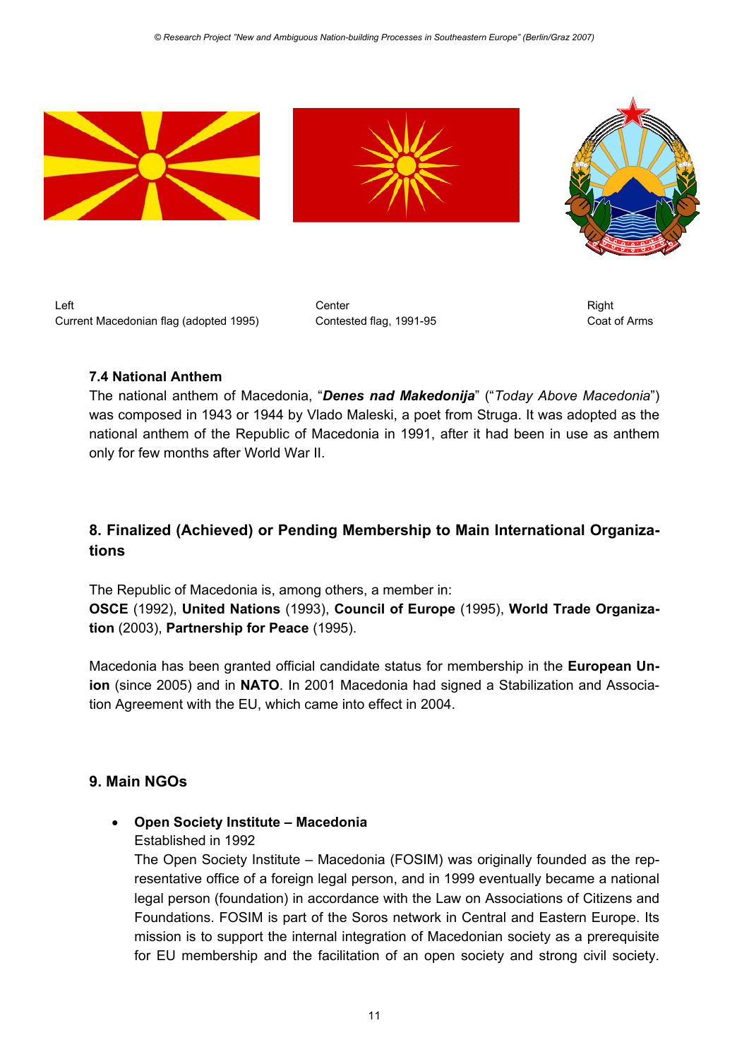

Left Center Right Current Macedonian flag (adopted 1995) Contested flag, 1991-95 Coat of Arms

### **7.4 National Anthem**

The national anthem of Macedonia, "*Denes nad Makedonija*" ("*Today Above Macedonia*") was composed in 1943 or 1944 by Vlado Maleski, a poet from Struga. It was adopted as the national anthem of the Republic of Macedonia in 1991, after it had been in use as anthem only for few months after World War II.

## **8. Finalized (Achieved) or Pending Membership to Main International Organizations**

The Republic of Macedonia is, among others, a member in: **OSCE** (1992), **United Nations** (1993), **Council of Europe** (1995), **World Trade Organization** (2003), **Partnership for Peace** (1995).

Macedonia has been granted official candidate status for membership in the **European Union** (since 2005) and in **NATO**. In 2001 Macedonia had signed a Stabilization and Association Agreement with the EU, which came into effect in 2004.

### **9. Main NGOs**

### • **Open Society Institute – Macedonia**

#### Established in 1992

The Open Society Institute – Macedonia (FOSIM) was originally founded as the representative office of a foreign legal person, and in 1999 eventually became a national legal person (foundation) in accordance with the Law on Associations of Citizens and Foundations. FOSIM is part of the Soros network in Central and Eastern Europe. Its mission is to support the internal integration of Macedonian society as a prerequisite for EU membership and the facilitation of an open society and strong civil society.